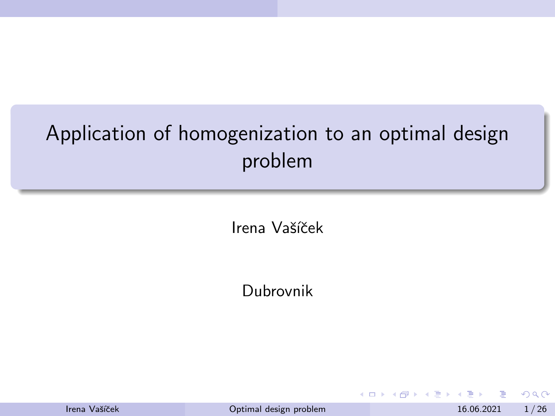# <span id="page-0-0"></span>Application of homogenization to an optimal design problem

Irena Vašíček

Dubrovnik

|  | Irena Vašíček |  |
|--|---------------|--|
|--|---------------|--|

4 0 8

 $QQ$ 

 $\mathcal{A} \ \equiv \ \mathcal{B} \ \ \mathcal{A} \ \equiv \ \mathcal{B}$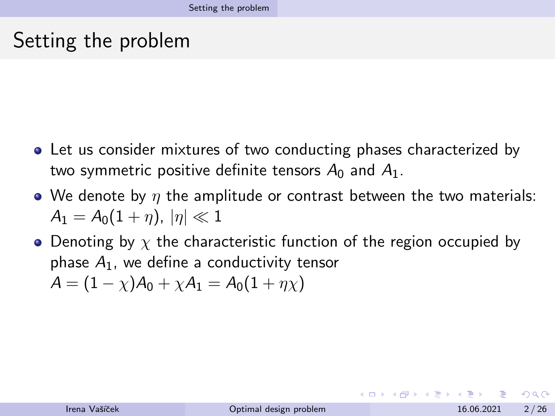## <span id="page-1-0"></span>Setting the problem

- Let us consider mixtures of two conducting phases characterized by two symmetric positive definite tensors  $A_0$  and  $A_1$ .
- We denote by  $\eta$  the amplitude or contrast between the two materials:  $A_1 = A_0(1 + n), |\eta| \ll 1$
- Denoting by  $\chi$  the characteristic function of the region occupied by phase  $A_1$ , we define a conductivity tensor  $A = (1 - \chi)A_0 + \chi A_1 = A_0(1 + \eta \chi)$

 $\Omega$ 

イロト イ押 トイヨ トイヨ トーヨ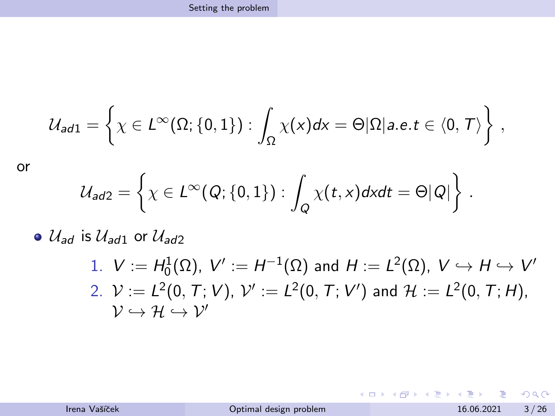$$
\mathcal{U}_{ad1} = \left\{ \chi \in L^{\infty}(\Omega; \{0,1\}) : \int_{\Omega} \chi(x) dx = \Theta |\Omega| a.e. t \in \langle 0, T \rangle \right\},\,
$$

or

$$
\mathcal{U}_{ad2} = \left\{ \chi \in L^{\infty}(Q; \{0,1\}) : \int_{Q} \chi(t,x) dx dt = \Theta|Q| \right\}.
$$

 $\bullet$   $\mathcal{U}_{ad}$  is  $\mathcal{U}_{ad1}$  or  $\mathcal{U}_{ad2}$ 

1. 
$$
V := H_0^1(\Omega)
$$
,  $V' := H^{-1}(\Omega)$  and  $H := L^2(\Omega)$ ,  $V \hookrightarrow H \hookrightarrow V'$   
\n2.  $V := L^2(0, T; V)$ ,  $V' := L^2(0, T; V')$  and  $H := L^2(0, T; H)$ ,  
\n $V \hookrightarrow H \hookrightarrow V'$ 

 $299$ 

イロト イ部 トイモ トイモト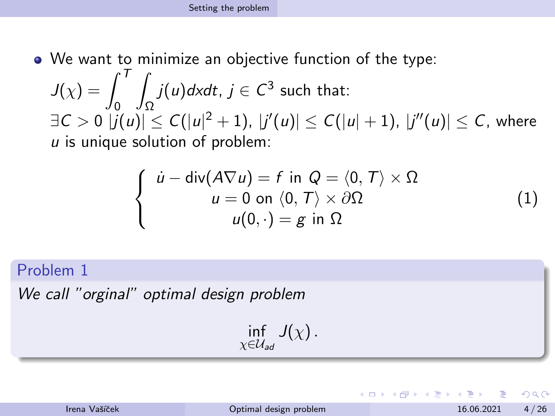We want to minimize an objective function of the type:

 $J(\chi)=\int^T\,\int j(u)d\mathsf{x}dt$ ,  $j\in\mathcal{C}^3$  such that:  $\exists C>0 \,\, \left|j(u)\right|\leq C(\left|u\right|^2+1),\ \left|j'(u)\right|\leq C(\left|u\right|+1),\ \left|j''(u)\right|\leq C,$  where  $u$  is unique solution of problem:

<span id="page-3-0"></span>
$$
\begin{cases}\n\dot{u} - \text{div}(A\nabla u) = f \text{ in } Q = \langle 0, T \rangle \times \Omega \\
u = 0 \text{ on } \langle 0, T \rangle \times \partial \Omega \\
u(0, \cdot) = g \text{ in } \Omega\n\end{cases}
$$
\n(1)

Problem 1

We call "orginal" optimal design problem

 $\inf_{\chi \in \mathcal{U}_{ad}} J(\chi)$  .

| Irena Vašíček |  |  |
|---------------|--|--|
|               |  |  |

 $\Omega$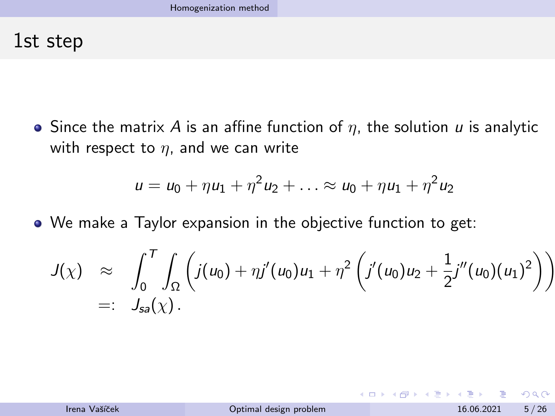### <span id="page-4-0"></span>1st step

 $\bullet$  Since the matrix A is an affine function of  $\eta$ , the solution  $\mu$  is analytic with respect to  $\eta$ , and we can write

$$
u = u_0 + \eta u_1 + \eta^2 u_2 + \ldots \approx u_0 + \eta u_1 + \eta^2 u_2
$$

We make a Taylor expansion in the objective function to get:

$$
J(\chi) \approx \int_0^T \int_{\Omega} \left( j(u_0) + \eta j'(u_0) u_1 + \eta^2 \left( j'(u_0) u_2 + \frac{1}{2} j''(u_0) (u_1)^2 \right) \right) =: J_{sa}(\chi).
$$

 $QQ$ 

イロト イ押ト イヨト イヨト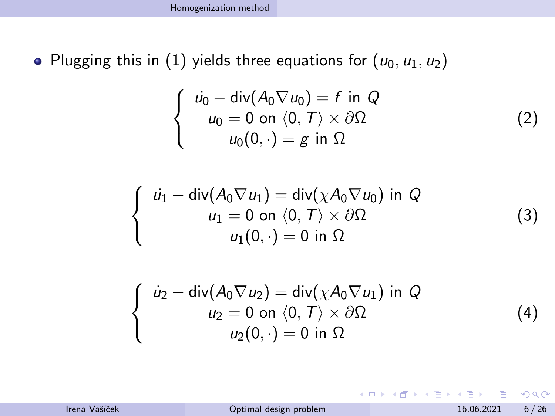• Plugging this in [\(1\)](#page-3-0) yields three equations for  $(u_0, u_1, u_2)$ 

<span id="page-5-0"></span>
$$
\begin{cases}\n\dot{u_0} - \text{div}(A_0 \nabla u_0) = f \text{ in } Q \\
u_0 = 0 \text{ on } \langle 0, T \rangle \times \partial \Omega \\
u_0(0, \cdot) = g \text{ in } \Omega\n\end{cases}
$$
\n(2)

$$
\left\{\begin{array}{c} \dot{u_1} -\operatorname{div}(A_0 \nabla u_1) = \operatorname{div}(\chi A_0 \nabla u_0) \text{ in } Q \\ u_1 = 0 \text{ on } \langle 0, T \rangle \times \partial \Omega \\ u_1(0, \cdot) = 0 \text{ in } \Omega \end{array}\right.
$$

$$
\begin{cases}\n\dot{u}_2 - \operatorname{div}(A_0 \nabla u_2) = \operatorname{div}(\chi A_0 \nabla u_1) \text{ in } Q \\
u_2 = 0 \text{ on } \langle 0, T \rangle \times \partial \Omega \\
u_2(0, \cdot) = 0 \text{ in } \Omega\n\end{cases}
$$
\n(4)

イロト イ押ト イヨト イヨト

 $299$ 

(3)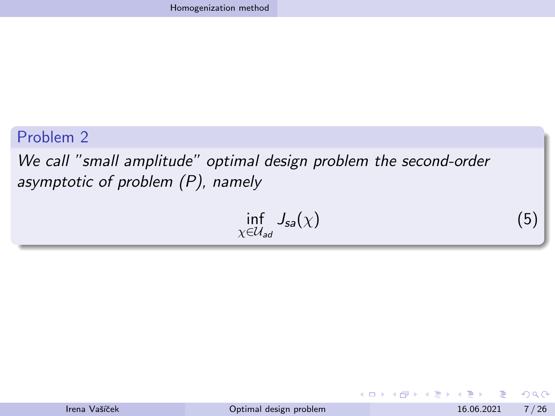#### Problem 2

We call "small amplitude" optimal design problem the second-order asymptotic of problem (P), namely

$$
\inf_{\chi \in \mathcal{U}_{ad}} J_{sa}(\chi) \tag{5}
$$

| Irena Vašíček |
|---------------|
|               |

4 0 8

化重新润滑脂

 $299$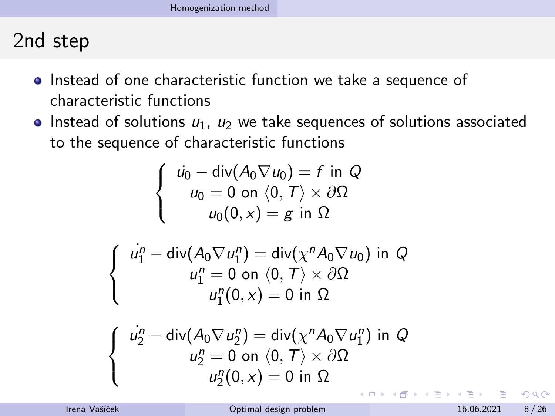# 2nd step

- Instead of one characteristic function we take a sequence of characteristic functions
- Instead of solutions  $u_1$ ,  $u_2$  we take sequences of solutions associated to the sequence of characteristic functions

$$
\begin{cases}\n\dot{u_0} - \text{div}(A_0 \nabla u_0) = f \text{ in } Q \\
u_0 = 0 \text{ on } \langle 0, T \rangle \times \partial \Omega \\
u_0(0, x) = g \text{ in } \Omega\n\end{cases}
$$

$$
\begin{cases}\n\dot{u}_1^n - \operatorname{div}(A_0 \nabla u_1^n) = \operatorname{div}(\chi^n A_0 \nabla u_0) \text{ in } Q \\
u_1^n = 0 \text{ on } \langle 0, T \rangle \times \partial \Omega \\
u_1^n(0, x) = 0 \text{ in } \Omega\n\end{cases}
$$

$$
\begin{cases}\n\dot{u}_2^n - \operatorname{div}(A_0 \nabla u_2^n) = \operatorname{div}(\chi^n A_0 \nabla u_1^n) \text{ in } Q \\
u_2^n = 0 \text{ on } \langle 0, T \rangle \times \partial \Omega \\
u_2^n(0, x) = 0 \text{ in } \Omega\n\end{cases}
$$

 $\Omega$ 

化重新润滑脂

4 0 F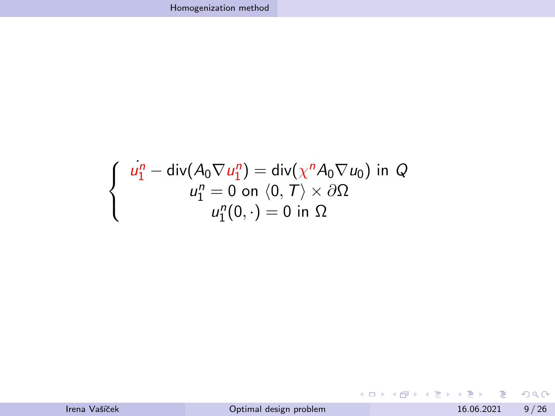$$
\begin{cases}\n u_1^n - \operatorname{div}(A_0 \nabla u_1^n) = \operatorname{div}(\chi^n A_0 \nabla u_0) \text{ in } Q \\
 u_1^n = 0 \text{ on } \langle 0, T \rangle \times \partial \Omega \\
 u_1^n(0, \cdot) = 0 \text{ in } \Omega\n\end{cases}
$$

 $2990$ 

メロトメ 御 トメ 君 トメ 君 トー 君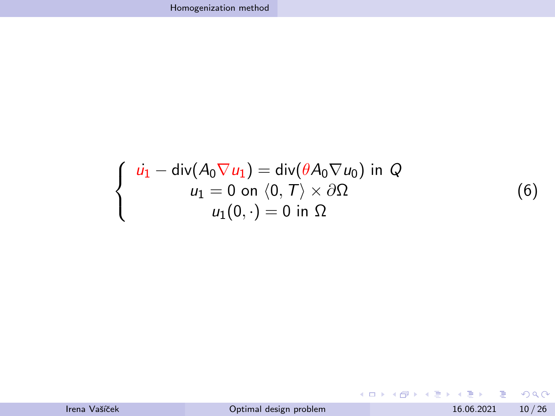<span id="page-9-0"></span>
$$
\begin{cases}\n\dot{u_1} - \text{div}(A_0 \nabla u_1) = \text{div}(\theta A_0 \nabla u_0) \text{ in } Q \\
u_1 = 0 \text{ on } \langle 0, T \rangle \times \partial \Omega \\
u_1(0, \cdot) = 0 \text{ in } \Omega\n\end{cases}
$$

メロトメ 倒 トメ 君 トメ 君 トッ 君

 $QQ$ 

(6)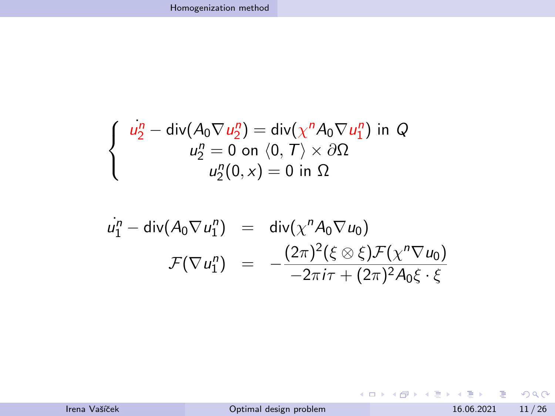$$
\begin{cases}\n\dot{u}_2^n - \operatorname{div}(A_0 \nabla u_2^n) = \operatorname{div}(\chi^n A_0 \nabla u_1^n) \text{ in } Q \\
u_2^n = 0 \text{ on } \langle 0, T \rangle \times \partial \Omega \\
u_2^n(0, x) = 0 \text{ in } \Omega\n\end{cases}
$$

$$
u_1^n - \text{div}(A_0 \nabla u_1^n) = \text{div}(\chi^n A_0 \nabla u_0)
$$
  

$$
\mathcal{F}(\nabla u_1^n) = -\frac{(2\pi)^2 (\xi \otimes \xi) \mathcal{F}(\chi^n \nabla u_0)}{-2\pi i \tau + (2\pi)^2 A_0 \xi \cdot \xi}
$$

K ロ X K 伊 X K ミ X K ミ X ミ → D V Q Q →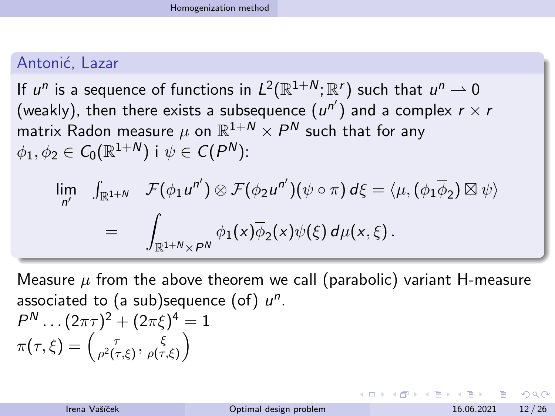#### Antonić, Lazar

If  $u^n$  is a sequence of functions in  $L^2(\mathbb{R}^{1+N};\mathbb{R}^r)$  such that  $u^n\rightharpoonup 0$ (weakly), then there exists a subsequence  $(u^{n'})$  and a complex  $r \times r$ matrix Radon measure  $\mu$  on  $\mathbb{R}^{1+N}\times P^N$  such that for any  $\phi_1,\phi_2\in\mathcal{C}_0(\mathbb{R}^{1+\mathcal{N}})$  i  $\psi\in\mathcal{C}(\mathit{P}^{\mathcal{N}})$ :

$$
\lim_{n'} \quad \int_{\mathbb{R}^{1+N}} \mathcal{F}(\phi_1 u^{n'}) \otimes \mathcal{F}(\phi_2 u^{n'})(\psi \circ \pi) d\xi = \langle \mu, (\phi_1 \overline{\phi}_2) \boxtimes \psi \rangle
$$
\n
$$
= \quad \int_{\mathbb{R}^{1+N} \times P^N} \phi_1(x) \overline{\phi}_2(x) \psi(\xi) d\mu(x, \xi).
$$

Measure  $\mu$  from the above theorem we call (parabolic) variant H-measure associated to (a sub)sequence (of)  $u^n$ .

$$
P^N \dots (2\pi\tau)^2 + (2\pi\xi)^4 = 1
$$
  

$$
\pi(\tau,\xi) = \left(\frac{\tau}{\rho^2(\tau,\xi)}, \frac{\xi}{\rho(\tau,\xi)}\right)
$$

 $\Omega$ 

K ロ ▶ K 御 ▶ K 君 ▶ K 君 ▶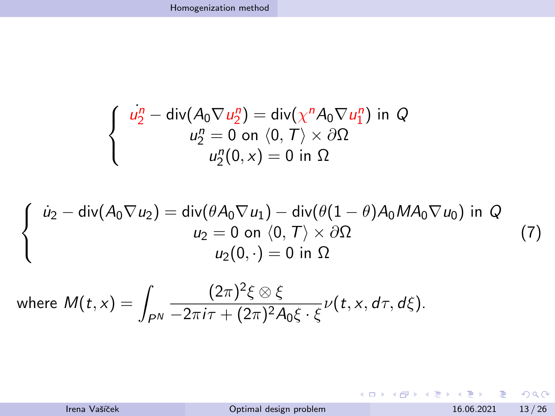$$
\begin{cases}\n\frac{u_2^n - \text{div}(A_0 \nabla u_2^n) = \text{div}(\chi^n A_0 \nabla u_1^n) \text{ in } Q \\
u_2^n = 0 \text{ on } \langle 0, T \rangle \times \partial \Omega \\
u_2^n(0, x) = 0 \text{ in } \Omega\n\end{cases}
$$

<span id="page-12-0"></span>
$$
\begin{cases}\n\dot{u}_2 - \text{div}(A_0 \nabla u_2) = \text{div}(\theta A_0 \nabla u_1) - \text{div}(\theta (1 - \theta) A_0 M A_0 \nabla u_0) \text{ in } Q \\
u_2 = 0 \text{ on } \langle 0, T \rangle \times \partial \Omega \\
u_2(0, \cdot) = 0 \text{ in } \Omega\n\end{cases}
$$
\n(7)

where 
$$
M(t, x) = \int_{P^N} \frac{(2\pi)^2 \xi \otimes \xi}{-2\pi i \tau + (2\pi)^2 A_0 \xi \cdot \xi} \nu(t, x, d\tau, d\xi).
$$

Irena Vašíček **[Optimal design problem](#page-0-0)** 16.06.2021 13/26

K ロ X K 伊 X K ミ X K ミ X ミ → D V Q Q →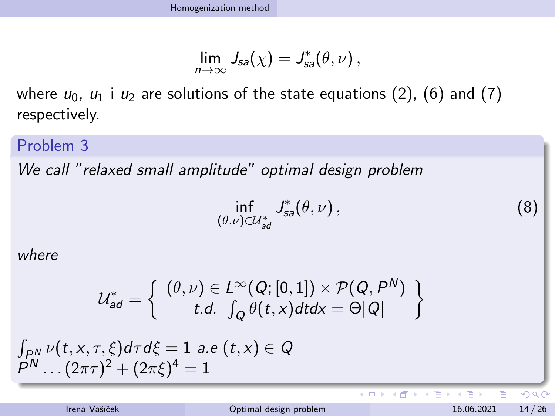$$
\lim_{n\to\infty}J_{sa}(\chi)=J_{sa}^*(\theta,\nu)\,,
$$

where  $u_0$ ,  $u_1$  i  $u_2$  are solutions of the state equations [\(2\)](#page-5-0), [\(6\)](#page-9-0) and [\(7\)](#page-12-0) respectively.

Problem 3

We call "relaxed small amplitude" optimal design problem

$$
\inf_{(\theta,\nu)\in\mathcal{U}_{ad}^*}\mathcal{J}_{sa}^*(\theta,\nu)\,,\tag{8}
$$

K ロト K 御 ト K 唐 ト K 唐

where

$$
\mathcal{U}_{ad}^* = \left\{ \begin{array}{c} (\theta, \nu) \in L^\infty(Q; [0,1]) \times \mathcal{P}(Q, P^N) \\ t.d. \int_Q \theta(t, x) dt dx = \Theta|Q| \end{array} \right\}
$$

 $\int_{P^N} \nu(t, x, \tau, \xi) d\tau d\xi = 1$  a.e  $(t, x) \in Q$  $P^N \dots (2\pi\tau)^2 + (2\pi\xi)^4 = 1$ 

 $QQ$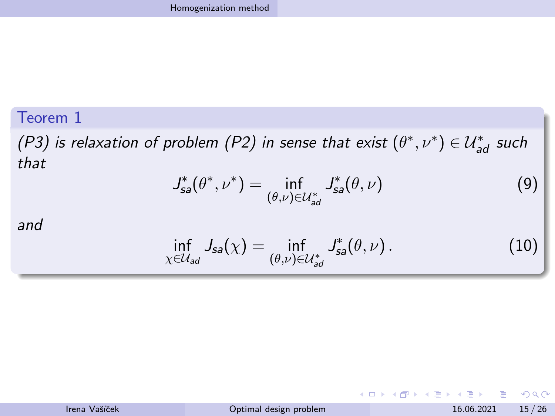#### Teorem 1

(P3) is relaxation of problem (P2) in sense that exist  $(\theta^*, \nu^*) \in \mathcal{U}^*_{ad}$  such that

$$
J_{sa}^*(\theta^*, \nu^*) = \inf_{(\theta,\nu) \in \mathcal{U}_{ad}^*} J_{sa}^*(\theta, \nu)
$$
(9)

and

$$
\inf_{\chi \in \mathcal{U}_{ad}} J_{sa}(\chi) = \inf_{(\theta,\nu) \in \mathcal{U}_{ad}^*} J_{sa}^*(\theta,\nu).
$$
 (10)

| Irena Vašíček | Optimal design problem | 15/26<br>16.06.2021 |
|---------------|------------------------|---------------------|
|               |                        |                     |

 $OQ$ 

イロト イ部 トイヨ トイヨト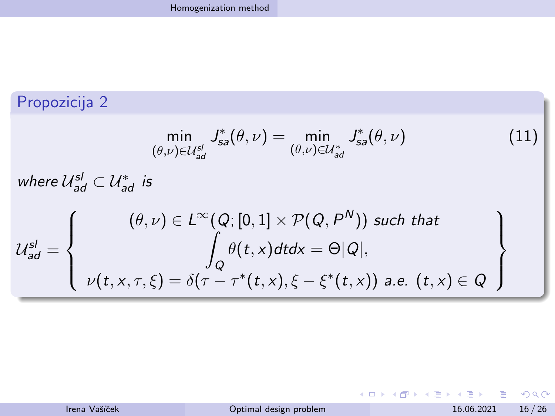#### Propozicija 2

$$
\min_{(\theta,\nu)\in\mathcal{U}_{ad}^{sl}} J_{sa}^*(\theta,\nu) = \min_{(\theta,\nu)\in\mathcal{U}_{ad}^*} J_{sa}^*(\theta,\nu)
$$
(11)

where  $\mathcal{U}_{\mathsf{ad}}^{\mathsf{sl}} \subset \mathcal{U}_{\mathsf{ad}}^*$  is

$$
\mathcal{U}_{ad}^{sl} = \left\{\n\begin{array}{c}\n(\theta, \nu) \in L^{\infty}(Q; [0, 1] \times \mathcal{P}(Q, P^N)) \text{ such that} \\
\int_{Q} \theta(t, x) dt dx = \Theta|Q|, \\
\nu(t, x, \tau, \xi) = \delta(\tau - \tau^*(t, x), \xi - \xi^*(t, x)) \text{ a.e. } (t, x) \in Q\n\end{array}\n\right\}
$$

Irena Vašíček **[Optimal design problem](#page-0-0)** 16.06.2021 16/26

 $2990$ 

イロン イ部ン イヨン イヨン 一君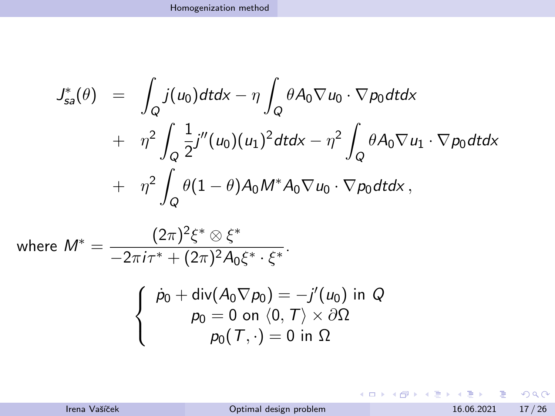$$
J_{sa}^*(\theta) = \int_Q j(u_0) dt dx - \eta \int_Q \theta A_0 \nabla u_0 \cdot \nabla p_0 dt dx
$$
  
+ 
$$
\eta^2 \int_Q \frac{1}{2} j''(u_0) (u_1)^2 dt dx - \eta^2 \int_Q \theta A_0 \nabla u_1 \cdot \nabla p_0 dt dx
$$
  
+ 
$$
\eta^2 \int_Q \theta (1 - \theta) A_0 M^* A_0 \nabla u_0 \cdot \nabla p_0 dt dx,
$$

where 
$$
M^* = \frac{(2\pi)^2 \xi^* \otimes \xi^*}{-2\pi i \tau^* + (2\pi)^2 A_0 \xi^* \cdot \xi^*}
$$

$$
\begin{cases} \dot{p}_0 + \text{div}(A_0 \nabla p_0) = -j'(u_0) \text{ in } Q \\ p_0 = 0 \text{ on } \langle 0, T \rangle \times \partial \Omega \\ p_0(T, \cdot) = 0 \text{ in } \Omega \end{cases}
$$

Irena Vašíček **[Optimal design problem](#page-0-0)** 16.06.2021 17/26

K ロ X x 何 X x モ X x モ X → 三 电 → の Q Q →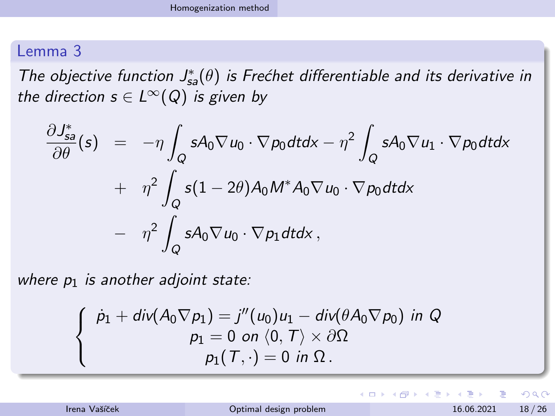#### Lemma 3

The objective function  $J_{sa}^*(\theta)$  is Frechet differentiable and its derivative in the direction  $s \in L^{\infty}(Q)$  is given by

$$
\frac{\partial J_{sa}^*}{\partial \theta}(s) = -\eta \int_Q sA_0 \nabla u_0 \cdot \nabla p_0 dt dx - \eta^2 \int_Q sA_0 \nabla u_1 \cdot \nabla p_0 dt dx \n+ \eta^2 \int_Q s(1 - 2\theta) A_0 M^* A_0 \nabla u_0 \cdot \nabla p_0 dt dx \n- \eta^2 \int_Q sA_0 \nabla u_0 \cdot \nabla p_1 dt dx,
$$

where  $p_1$  is another adjoint state:

$$
\begin{cases}\n\dot{p}_1 + \text{div}(A_0 \nabla p_1) = j''(u_0)u_1 - \text{div}(\theta A_0 \nabla p_0) \text{ in } Q \\
p_1 = 0 \text{ on } \langle 0, T \rangle \times \partial \Omega \\
p_1(T, \cdot) = 0 \text{ in } \Omega.\n\end{cases}
$$

 $\Omega$ 

イロト イ部 トイモ トイモト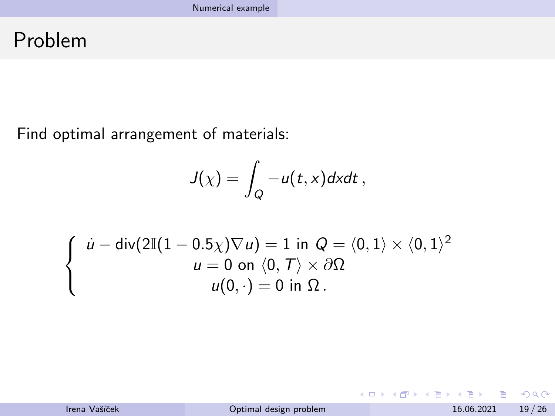## <span id="page-18-0"></span>Problem

Find optimal arrangement of materials:

$$
J(\chi)=\int_Q-u(t,x)dxdt\,
$$

$$
\begin{cases}\n\dot{u} - \text{div}(2\mathbb{I}(1 - 0.5\chi)\nabla u) = 1 \text{ in } Q = \langle 0, 1 \rangle \times \langle 0, 1 \rangle^2 \\
u = 0 \text{ on } \langle 0, T \rangle \times \partial \Omega \\
u(0, \cdot) = 0 \text{ in } \Omega.\n\end{cases}
$$

 $299$ 

イロト イ部 トイモ トイモト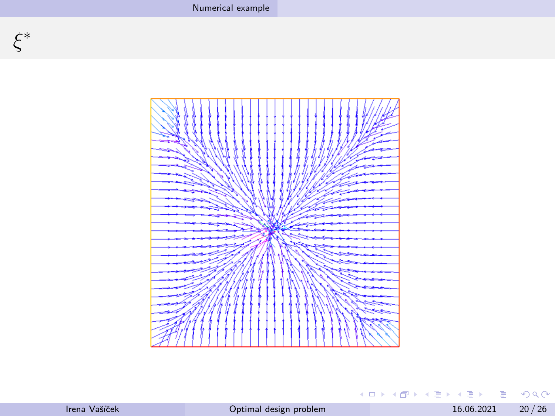

|  | Irena Vašíček |
|--|---------------|
|--|---------------|

16.06.2021  $20/26$ 

(ロ) (個) (目) (目) (目) 目 のQO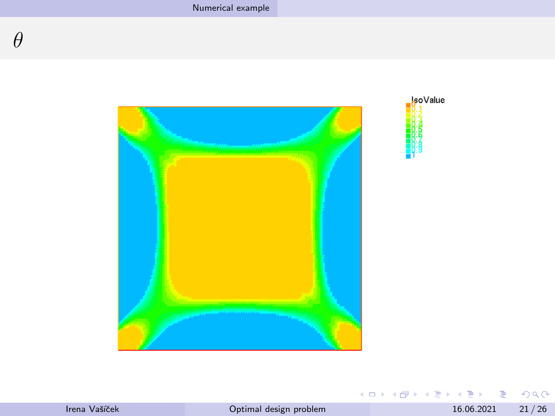



|  | Irena Vašíček |
|--|---------------|
|--|---------------|

**K ロ ▶ K 御 ▶ K 聖 ▶ K 聖 ▶ │ 聖│ めぬひ**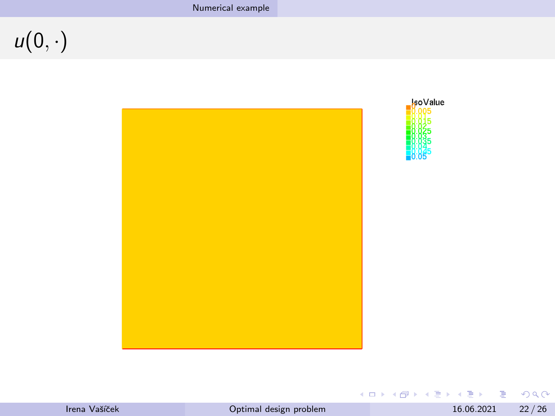# $u(0, \cdot)$





|  | Irena Vašíček |
|--|---------------|
|--|---------------|

K ロ ▶ K @ ▶ K 콜 ▶ K 콜 ▶ │ 콜 │ ◆ 9 Q ⊙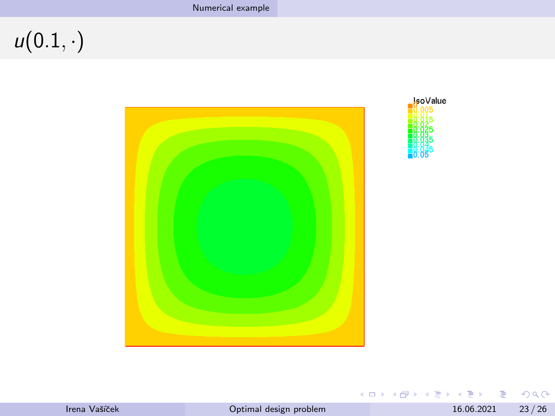$u(0.1,\cdot)$ 





Irena Vašíček

 $23/26$ 16.06.2021

K ロ > K 個 > K 差 > K 差 > → 差 → の Q Q →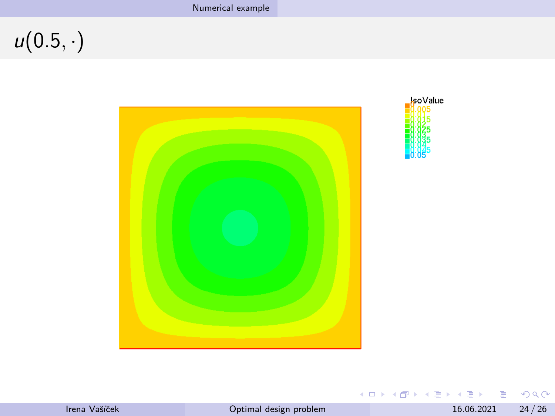$u(0.5,\cdot)$ 





| Irena Vašíček |  |  |
|---------------|--|--|
|               |  |  |

 $24/26$ 16.06.2021

K ロ ▶ K @ ▶ K 콜 ▶ K 콜 ▶ │ 콜 │ ◆ 9 Q ⊙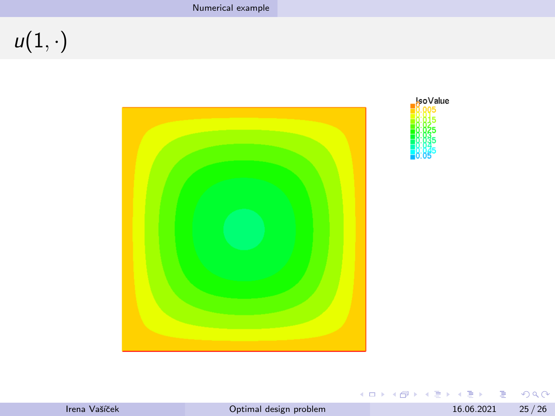$u(1,\cdot)$ 





|  | Irena Vašíček |
|--|---------------|
|--|---------------|

16.06.2021  $25/26$ 

K ロ ▶ K 個 ▶ K 할 ▶ K 할 ▶ ( 할 ) 10 Q Q ©